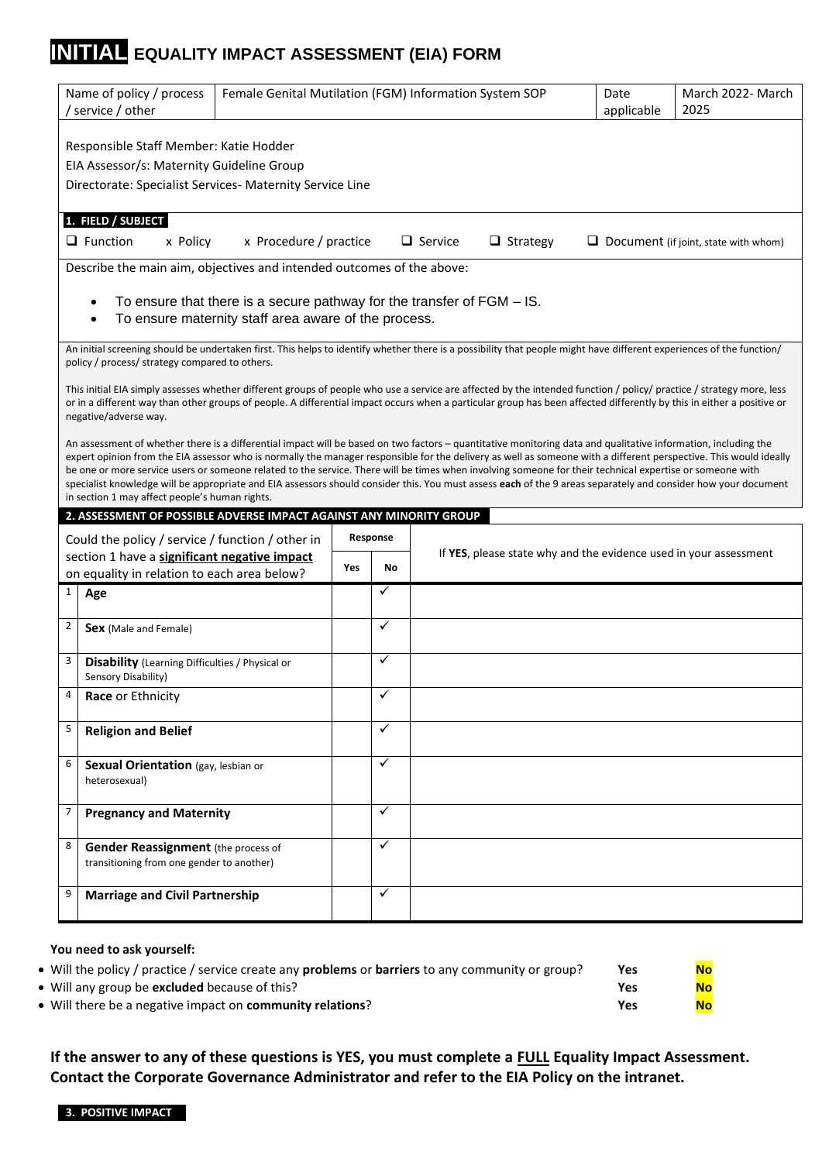# **INITIAL EQUALITY IMPACT ASSESSMENT (EIA) FORM**

| Name of policy / process<br>/ service / other |                                                                                                                                                 |                                                      |     |              | Female Genital Mutilation (FGM) Information System SOP                                                                                                                                                                                                                                                                                                                                                                                                                                                                                                                                                                                                            | Date<br>applicable | March 2022- March<br>2025                   |
|-----------------------------------------------|-------------------------------------------------------------------------------------------------------------------------------------------------|------------------------------------------------------|-----|--------------|-------------------------------------------------------------------------------------------------------------------------------------------------------------------------------------------------------------------------------------------------------------------------------------------------------------------------------------------------------------------------------------------------------------------------------------------------------------------------------------------------------------------------------------------------------------------------------------------------------------------------------------------------------------------|--------------------|---------------------------------------------|
|                                               | Responsible Staff Member: Katie Hodder<br>EIA Assessor/s: Maternity Guideline Group<br>Directorate: Specialist Services- Maternity Service Line |                                                      |     |              |                                                                                                                                                                                                                                                                                                                                                                                                                                                                                                                                                                                                                                                                   |                    |                                             |
|                                               | 1. FIELD / SUBJECT<br>$\Box$ Function<br>x Policy                                                                                               | x Procedure / practice                               |     |              | $\Box$ Service<br>$\Box$ Strategy                                                                                                                                                                                                                                                                                                                                                                                                                                                                                                                                                                                                                                 |                    | $\Box$ Document (if joint, state with whom) |
|                                               | Describe the main aim, objectives and intended outcomes of the above:                                                                           | To ensure maternity staff area aware of the process. |     |              | To ensure that there is a secure pathway for the transfer of FGM - IS.                                                                                                                                                                                                                                                                                                                                                                                                                                                                                                                                                                                            |                    |                                             |
|                                               | policy / process/ strategy compared to others.                                                                                                  |                                                      |     |              | An initial screening should be undertaken first. This helps to identify whether there is a possibility that people might have different experiences of the function/                                                                                                                                                                                                                                                                                                                                                                                                                                                                                              |                    |                                             |
|                                               | negative/adverse way.                                                                                                                           |                                                      |     |              | This initial EIA simply assesses whether different groups of people who use a service are affected by the intended function / policy/ practice / strategy more, less<br>or in a different way than other groups of people. A differential impact occurs when a particular group has been affected differently by this in either a positive or                                                                                                                                                                                                                                                                                                                     |                    |                                             |
|                                               | in section 1 may affect people's human rights.                                                                                                  |                                                      |     |              | An assessment of whether there is a differential impact will be based on two factors - quantitative monitoring data and qualitative information, including the<br>expert opinion from the EIA assessor who is normally the manager responsible for the delivery as well as someone with a different perspective. This would ideally<br>be one or more service users or someone related to the service. There will be times when involving someone for their technical expertise or someone with<br>specialist knowledge will be appropriate and EIA assessors should consider this. You must assess each of the 9 areas separately and consider how your document |                    |                                             |
|                                               | 2. ASSESSMENT OF POSSIBLE ADVERSE IMPACT AGAINST ANY MINORITY GROUP                                                                             |                                                      |     |              |                                                                                                                                                                                                                                                                                                                                                                                                                                                                                                                                                                                                                                                                   |                    |                                             |
|                                               | Could the policy / service / function / other in                                                                                                |                                                      |     | Response     | If YES, please state why and the evidence used in your assessment                                                                                                                                                                                                                                                                                                                                                                                                                                                                                                                                                                                                 |                    |                                             |
|                                               | section 1 have a significant negative impact<br>on equality in relation to each area below?                                                     |                                                      | Yes | No           |                                                                                                                                                                                                                                                                                                                                                                                                                                                                                                                                                                                                                                                                   |                    |                                             |
| $\mathbf{1}$                                  | Age                                                                                                                                             |                                                      |     | ✓            |                                                                                                                                                                                                                                                                                                                                                                                                                                                                                                                                                                                                                                                                   |                    |                                             |
| $\overline{2}$                                | Sex (Male and Female)                                                                                                                           |                                                      |     | $\checkmark$ |                                                                                                                                                                                                                                                                                                                                                                                                                                                                                                                                                                                                                                                                   |                    |                                             |
| 3                                             | <b>Disability</b> (Learning Difficulties / Physical or<br>Sensory Disability)                                                                   |                                                      |     | $\checkmark$ |                                                                                                                                                                                                                                                                                                                                                                                                                                                                                                                                                                                                                                                                   |                    |                                             |
|                                               | Race or Ethnicity                                                                                                                               |                                                      |     |              |                                                                                                                                                                                                                                                                                                                                                                                                                                                                                                                                                                                                                                                                   |                    |                                             |
| 5                                             | <b>Religion and Belief</b>                                                                                                                      |                                                      |     | $\checkmark$ |                                                                                                                                                                                                                                                                                                                                                                                                                                                                                                                                                                                                                                                                   |                    |                                             |
| 6                                             | Sexual Orientation (gay, lesbian or<br>heterosexual)                                                                                            |                                                      |     | $\checkmark$ |                                                                                                                                                                                                                                                                                                                                                                                                                                                                                                                                                                                                                                                                   |                    |                                             |
| $\overline{7}$                                | <b>Pregnancy and Maternity</b>                                                                                                                  |                                                      |     | $\checkmark$ |                                                                                                                                                                                                                                                                                                                                                                                                                                                                                                                                                                                                                                                                   |                    |                                             |
| 8                                             | <b>Gender Reassignment</b> (the process of<br>transitioning from one gender to another)                                                         |                                                      |     | $\checkmark$ |                                                                                                                                                                                                                                                                                                                                                                                                                                                                                                                                                                                                                                                                   |                    |                                             |
| 9                                             | <b>Marriage and Civil Partnership</b>                                                                                                           |                                                      |     | ✓            |                                                                                                                                                                                                                                                                                                                                                                                                                                                                                                                                                                                                                                                                   |                    |                                             |
|                                               |                                                                                                                                                 |                                                      |     |              |                                                                                                                                                                                                                                                                                                                                                                                                                                                                                                                                                                                                                                                                   |                    |                                             |

#### **You need to ask yourself:**

| • Will the policy / practice / service create any <b>problems</b> or <b>barriers</b> to any community or group? | Yes | <b>No</b> |
|-----------------------------------------------------------------------------------------------------------------|-----|-----------|
| • Will any group be <b>excluded</b> because of this?                                                            | Yes |           |
| • Will there be a negative impact on <b>community relations</b> ?                                               | Yes | <b>No</b> |

**If the answer to any of these questions is YES, you must complete a FULL Equality Impact Assessment. Contact the Corporate Governance Administrator and refer to the EIA Policy on the intranet.**